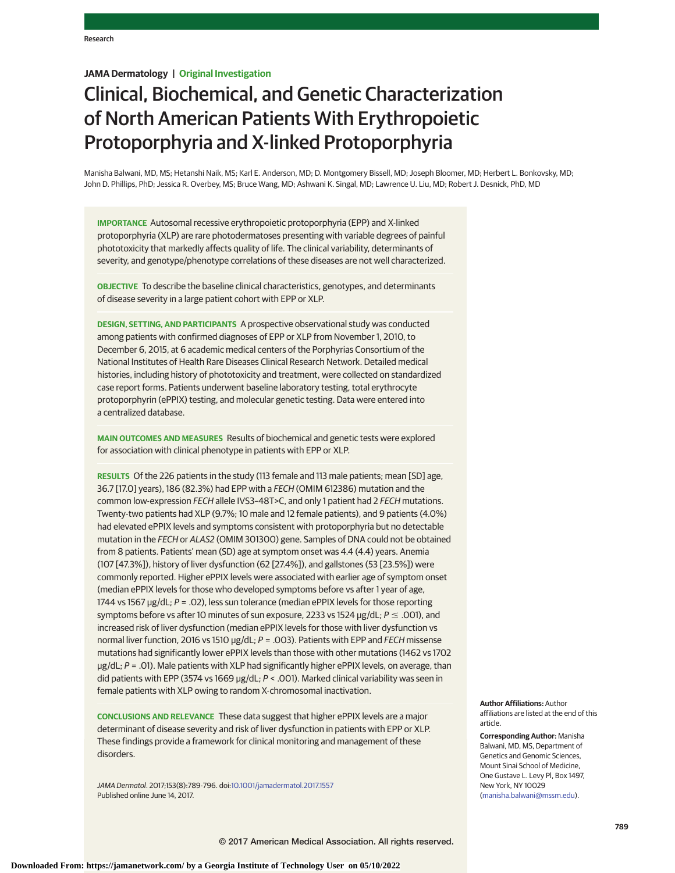**JAMA Dermatology | Original Investigation**

# Clinical, Biochemical, and Genetic Characterization of North American Patients With Erythropoietic Protoporphyria and X-linked Protoporphyria

Manisha Balwani, MD, MS; Hetanshi Naik, MS; Karl E. Anderson, MD; D. Montgomery Bissell, MD; Joseph Bloomer, MD; Herbert L. Bonkovsky, MD; John D. Phillips, PhD; Jessica R. Overbey, MS; Bruce Wang, MD; Ashwani K. Singal, MD; Lawrence U. Liu, MD; Robert J. Desnick, PhD, MD

**IMPORTANCE** Autosomal recessive erythropoietic protoporphyria (EPP) and X-linked protoporphyria (XLP) are rare photodermatoses presenting with variable degrees of painful phototoxicity that markedly affects quality of life. The clinical variability, determinants of severity, and genotype/phenotype correlations of these diseases are not well characterized.

**OBJECTIVE** To describe the baseline clinical characteristics, genotypes, and determinants of disease severity in a large patient cohort with EPP or XLP.

**DESIGN, SETTING, AND PARTICIPANTS** A prospective observational study was conducted among patients with confirmed diagnoses of EPP or XLP from November 1, 2010, to December 6, 2015, at 6 academic medical centers of the Porphyrias Consortium of the National Institutes of Health Rare Diseases Clinical Research Network. Detailed medical histories, including history of phototoxicity and treatment, were collected on standardized case report forms. Patients underwent baseline laboratory testing, total erythrocyte protoporphyrin (ePPIX) testing, and molecular genetic testing. Data were entered into a centralized database.

**MAIN OUTCOMES AND MEASURES** Results of biochemical and genetic tests were explored for association with clinical phenotype in patients with EPP or XLP.

**RESULTS** Of the 226 patients in the study (113 female and 113 male patients; mean [SD] age, 36.7 [17.0] years), 186 (82.3%) had EPP with a FECH (OMIM 612386) mutation and the common low-expression FECH allele IVS3–48T>C, and only 1 patient had 2 FECH mutations. Twenty-two patients had XLP (9.7%; 10 male and 12 female patients), and 9 patients (4.0%) had elevated ePPIX levels and symptoms consistent with protoporphyria but no detectable mutation in the FECH or ALAS2 (OMIM 301300) gene. Samples of DNA could not be obtained from 8 patients. Patients' mean (SD) age at symptom onset was 4.4 (4.4) years. Anemia (107 [47.3%]), history of liver dysfunction (62 [27.4%]), and gallstones (53 [23.5%]) were commonly reported. Higher ePPIX levels were associated with earlier age of symptom onset (median ePPIX levels for those who developed symptoms before vs after 1 year of age, 1744 vs 1567 μg/dL;  $P = .02$ ), less sun tolerance (median ePPIX levels for those reporting symptoms before vs after 10 minutes of sun exposure, 2233 vs 1524  $\mu{\rm g}/{\rm dL};$   $P\leq .001$ ), and increased risk of liver dysfunction (median ePPIX levels for those with liver dysfunction vs normal liver function, 2016 vs 1510 μg/dL; P = .003). Patients with EPP and FECH missense mutations had significantly lower ePPIX levels than those with other mutations (1462 vs 1702  $\mu$ g/dL;  $P = .01$ ). Male patients with XLP had significantly higher ePPIX levels, on average, than did patients with EPP (3574 vs 1669 μg/dL; P < .001). Marked clinical variability was seen in female patients with XLP owing to random X-chromosomal inactivation.

**CONCLUSIONS AND RELEVANCE** These data suggest that higher ePPIX levels are a major determinant of disease severity and risk of liver dysfunction in patients with EPP or XLP. These findings provide a framework for clinical monitoring and management of these disorders.

JAMA Dermatol. 2017;153(8):789-796. doi[:10.1001/jamadermatol.2017.1557](http://jama.jamanetwork.com/article.aspx?doi=10.1001/jamadermatol.2017.1557&utm_campaign=articlePDF%26utm_medium=articlePDFlink%26utm_source=articlePDF%26utm_content=jamadermatol.2017.1557) Published online June 14, 2017.

**Author Affiliations:** Author affiliations are listed at the end of this article.

**Corresponding Author:** Manisha Balwani, MD, MS, Department of Genetics and Genomic Sciences, Mount Sinai School of Medicine, One Gustave L. Levy Pl, Box 1497, New York, NY 10029 [\(manisha.balwani@mssm.edu\)](mailto:manisha.balwani@mssm.edu).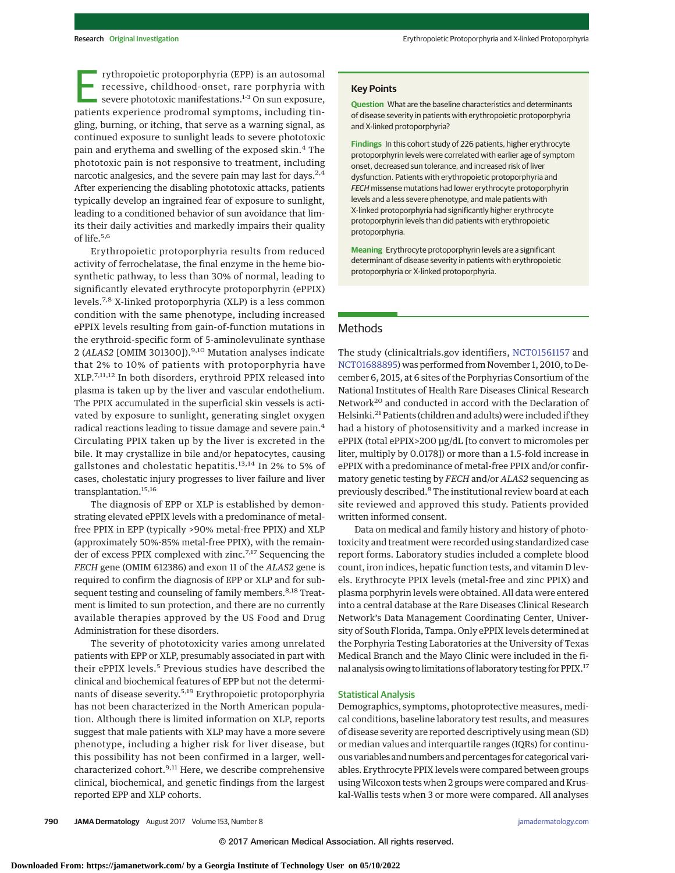Frythropoietic protoporphyria (EPP) is an autosomal<br>recessive, childhood-onset, rare porphyria with<br>severe phototoxic manifestations.<sup>1-3</sup> On sun exposure,<br>patients experience prodromal symptoms, including tiprecessive, childhood-onset, rare porphyria with patients experience prodromal symptoms, including tingling, burning, or itching, that serve as a warning signal, as continued exposure to sunlight leads to severe phototoxic pain and erythema and swelling of the exposed skin.<sup>4</sup> The phototoxic pain is not responsive to treatment, including narcotic analgesics, and the severe pain may last for days.<sup>2,4</sup> After experiencing the disabling phototoxic attacks, patients typically develop an ingrained fear of exposure to sunlight, leading to a conditioned behavior of sun avoidance that limits their daily activities and markedly impairs their quality of life.<sup>5,6</sup>

Erythropoietic protoporphyria results from reduced activity of ferrochelatase, the final enzyme in the heme biosynthetic pathway, to less than 30% of normal, leading to significantly elevated erythrocyte protoporphyrin (ePPIX) levels.7,8 X-linked protoporphyria (XLP) is a less common condition with the same phenotype, including increased ePPIX levels resulting from gain-of-function mutations in the erythroid-specific form of 5-aminolevulinate synthase 2 (ALAS2 [OMIM 301300]).<sup>9,10</sup> Mutation analyses indicate that 2% to 10% of patients with protoporphyria have XLP.7,11,12 In both disorders, erythroid PPIX released into plasma is taken up by the liver and vascular endothelium. The PPIX accumulated in the superficial skin vessels is activated by exposure to sunlight, generating singlet oxygen radical reactions leading to tissue damage and severe pain.<sup>4</sup> Circulating PPIX taken up by the liver is excreted in the bile. It may crystallize in bile and/or hepatocytes, causing gallstones and cholestatic hepatitis.<sup>13,14</sup> In 2% to 5% of cases, cholestatic injury progresses to liver failure and liver transplantation.15,16

The diagnosis of EPP or XLP is established by demonstrating elevated ePPIX levels with a predominance of metalfree PPIX in EPP (typically >90% metal-free PPIX) and XLP (approximately 50%-85% metal-free PPIX), with the remainder of excess PPIX complexed with zinc.<sup>7,17</sup> Sequencing the *FECH* gene (OMIM 612386) and exon 11 of the *ALAS2* gene is required to confirm the diagnosis of EPP or XLP and for subsequent testing and counseling of family members.<sup>8,18</sup> Treatment is limited to sun protection, and there are no currently available therapies approved by the US Food and Drug Administration for these disorders.

The severity of phototoxicity varies among unrelated patients with EPP or XLP, presumably associated in part with their ePPIX levels.<sup>5</sup> Previous studies have described the clinical and biochemical features of EPP but not the determinants of disease severity.<sup>5,19</sup> Erythropoietic protoporphyria has not been characterized in the North American population. Although there is limited information on XLP, reports suggest that male patients with XLP may have a more severe phenotype, including a higher risk for liver disease, but this possibility has not been confirmed in a larger, wellcharacterized cohort.<sup>9,11</sup> Here, we describe comprehensive clinical, biochemical, and genetic findings from the largest reported EPP and XLP cohorts.

## **Key Points**

**Question** What are the baseline characteristics and determinants of disease severity in patients with erythropoietic protoporphyria and X-linked protoporphyria?

**Findings** In this cohort study of 226 patients, higher erythrocyte protoporphyrin levels were correlated with earlier age of symptom onset, decreased sun tolerance, and increased risk of liver dysfunction. Patients with erythropoietic protoporphyria and FECH missense mutations had lower erythrocyte protoporphyrin levels and a less severe phenotype, and male patients with X-linked protoporphyria had significantly higher erythrocyte protoporphyrin levels than did patients with erythropoietic protoporphyria.

**Meaning** Erythrocyte protoporphyrin levels are a significant determinant of disease severity in patients with erythropoietic protoporphyria or X-linked protoporphyria.

# **Methods**

The study (clinicaltrials.gov identifiers, [NCT01561157](http://clinicaltrials.gov/show/NCT01561157) and [NCT01688895\)](http://clinicaltrials.gov/show/NCT01688895) was performed from November 1, 2010, to December 6, 2015, at 6 sites of the Porphyrias Consortium of the National Institutes of Health Rare Diseases Clinical Research Network<sup>20</sup> and conducted in accord with the Declaration of Helsinki.<sup>21</sup> Patients (children and adults) were included if they had a history of photosensitivity and a marked increase in ePPIX (total ePPIX>200 μg/dL [to convert to micromoles per liter, multiply by 0.0178]) or more than a 1.5-fold increase in ePPIX with a predominance of metal-free PPIX and/or confirmatory genetic testing by *FECH* and/or *ALAS2* sequencing as previously described.<sup>8</sup> The institutional review board at each site reviewed and approved this study. Patients provided written informed consent.

Data on medical and family history and history of phototoxicity and treatment were recorded using standardized case report forms. Laboratory studies included a complete blood count, iron indices, hepatic function tests, and vitamin D levels. Erythrocyte PPIX levels (metal-free and zinc PPIX) and plasma porphyrin levels were obtained. All data were entered into a central database at the Rare Diseases Clinical Research Network's Data Management Coordinating Center, University of South Florida, Tampa. Only ePPIX levels determined at the Porphyria Testing Laboratories at the University of Texas Medical Branch and the Mayo Clinic were included in the final analysis owing to limitations of laboratory testing for PPIX.17

## Statistical Analysis

Demographics, symptoms, photoprotective measures, medical conditions, baseline laboratory test results, and measures of disease severity are reported descriptively using mean (SD) or median values and interquartile ranges (IQRs) for continuous variables and numbers and percentages for categorical variables. Erythrocyte PPIX levels were compared between groups using Wilcoxon tests when 2 groups were compared and Kruskal-Wallis tests when 3 or more were compared. All analyses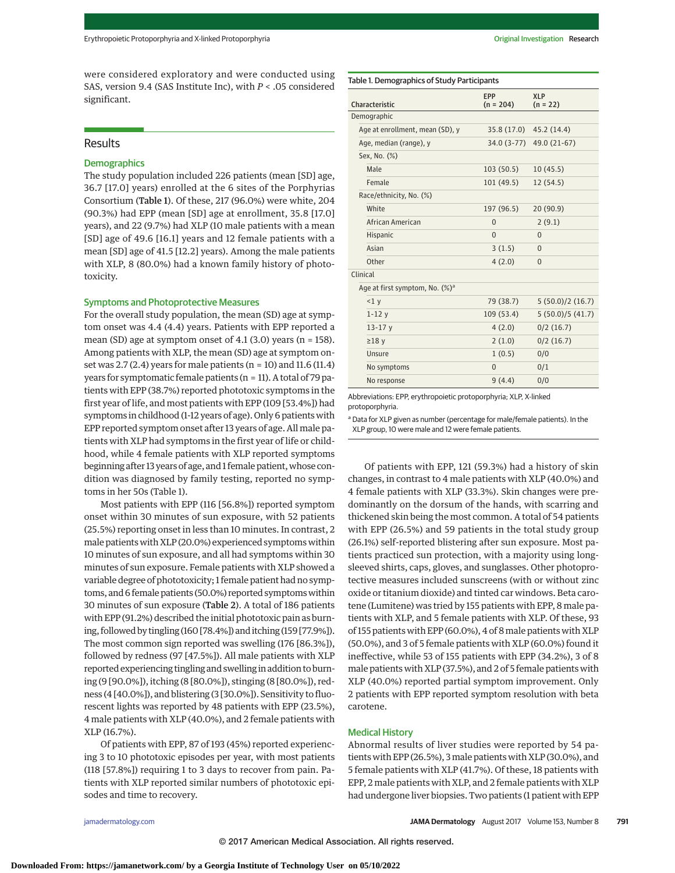were considered exploratory and were conducted using SAS, version 9.4 (SAS Institute Inc), with *P* < .05 considered significant.

# Results

# **Demographics**

The study population included 226 patients (mean [SD] age, 36.7 [17.0] years) enrolled at the 6 sites of the Porphyrias Consortium (Table 1). Of these, 217 (96.0%) were white, 204 (90.3%) had EPP (mean [SD] age at enrollment, 35.8 [17.0] years), and 22 (9.7%) had XLP (10 male patients with a mean [SD] age of 49.6 [16.1] years and 12 female patients with a mean [SD] age of 41.5 [12.2] years). Among the male patients with XLP, 8 (80.0%) had a known family history of phototoxicity.

# Symptoms and Photoprotective Measures

For the overall study population, the mean (SD) age at symptom onset was 4.4 (4.4) years. Patients with EPP reported a mean (SD) age at symptom onset of 4.1 (3.0) years (n = 158). Among patients with XLP, the mean (SD) age at symptom onset was  $2.7(2.4)$  years for male patients (n = 10) and 11.6 (11.4) years for symptomatic female patients ( $n = 11$ ). A total of 79 patients with EPP (38.7%) reported phototoxic symptoms in the first year of life, and most patients with EPP (109 [53.4%]) had symptoms in childhood (1-12 years of age). Only 6 patients with EPP reported symptom onset after 13 years of age. All male patients with XLP had symptoms in the first year of life or childhood, while 4 female patients with XLP reported symptoms beginning after 13 years of age, and 1 female patient, whose condition was diagnosed by family testing, reported no symptoms in her 50s (Table 1).

Most patients with EPP (116 [56.8%]) reported symptom onset within 30 minutes of sun exposure, with 52 patients (25.5%) reporting onset in less than 10 minutes. In contrast, 2 male patients with XLP (20.0%) experienced symptoms within 10 minutes of sun exposure, and all had symptoms within 30 minutes of sun exposure. Female patients with XLP showed a variable degree of phototoxicity; 1 female patient had no symptoms, and 6 female patients (50.0%) reported symptoms within 30 minutes of sun exposure (Table 2). A total of 186 patients with EPP (91.2%) described the initial phototoxic pain as burning, followed by tingling (160 [78.4%]) and itching (159 [77.9%]). The most common sign reported was swelling (176 [86.3%]), followed by redness (97 [47.5%]). All male patients with XLP reported experiencing tingling and swelling in addition to burning (9 [90.0%]), itching (8 [80.0%]), stinging (8 [80.0%]), redness (4 [40.0%]), and blistering (3 [30.0%]). Sensitivity to fluorescent lights was reported by 48 patients with EPP (23.5%), 4 male patients with XLP (40.0%), and 2 female patients with XLP (16.7%).

Of patients with EPP, 87 of 193 (45%) reported experiencing 3 to 10 phototoxic episodes per year, with most patients (118 [57.8%]) requiring 1 to 3 days to recover from pain. Patients with XLP reported similar numbers of phototoxic episodes and time to recovery.

# Table 1. Demographics of Study Participants

| Characteristic                     | <b>EPP</b><br>$(n = 204)$ | <b>XLP</b><br>$(n = 22)$ |
|------------------------------------|---------------------------|--------------------------|
| Demographic                        |                           |                          |
| Age at enrollment, mean (SD), y    | 35.8 (17.0) 45.2 (14.4)   |                          |
| Age, median (range), y             |                           | 34.0 (3-77) 49.0 (21-67) |
| Sex, No. (%)                       |                           |                          |
| Male                               | 103(50.5)                 | 10(45.5)                 |
| Female                             | 101 (49.5)                | 12 (54.5)                |
| Race/ethnicity, No. (%)            |                           |                          |
| White                              | 197 (96.5)                | 20(90.9)                 |
| African American                   | $\overline{0}$            | 2(9.1)                   |
| Hispanic                           | $\theta$                  | $\Omega$                 |
| Asian                              | 3(1.5)                    | $\Omega$                 |
| Other                              | 4(2.0)                    | $\Omega$                 |
| Clinical                           |                           |                          |
| Age at first symptom, No. $(\%)^a$ |                           |                          |
| $<1$ $<$                           | 79 (38.7)                 | 5(50.0)/2(16.7)          |
| $1 - 12y$                          | 109(53.4)                 | 5(50.0)/5(41.7)          |
| $13 - 17y$                         | 4(2.0)                    | 0/2(16.7)                |
| $\geq$ 18 y                        | 2(1.0)                    | 0/2(16.7)                |
| Unsure                             | 1(0.5)                    | 0/0                      |
| No symptoms                        | $\Omega$                  | 0/1                      |
| No response                        | 9(4.4)                    | 0/0                      |

Abbreviations: EPP, erythropoietic protoporphyria; XLP, X-linked protoporphyria.

<sup>a</sup> Data for XLP given as number (percentage for male/female patients). In the XLP group, 10 were male and 12 were female patients.

Of patients with EPP, 121 (59.3%) had a history of skin changes, in contrast to 4 male patients with XLP (40.0%) and 4 female patients with XLP (33.3%). Skin changes were predominantly on the dorsum of the hands, with scarring and thickened skin being the most common. A total of 54 patients with EPP (26.5%) and 59 patients in the total study group (26.1%) self-reported blistering after sun exposure. Most patients practiced sun protection, with a majority using longsleeved shirts, caps, gloves, and sunglasses. Other photoprotective measures included sunscreens (with or without zinc oxide or titanium dioxide) and tinted car windows. Beta carotene (Lumitene) was tried by 155 patients with EPP, 8 male patients with XLP, and 5 female patients with XLP. Of these, 93 of 155 patients with EPP (60.0%), 4 of 8male patients with XLP (50.0%), and 3 of 5 female patients with XLP (60.0%) found it ineffective, while 53 of 155 patients with EPP (34.2%), 3 of 8 male patients with XLP (37.5%), and 2 of 5 female patients with XLP (40.0%) reported partial symptom improvement. Only 2 patients with EPP reported symptom resolution with beta carotene.

# Medical History

Abnormal results of liver studies were reported by 54 patients with EPP (26.5%), 3male patients with XLP (30.0%), and 5 female patients with XLP (41.7%). Of these, 18 patients with EPP, 2 male patients with XLP, and 2 female patients with XLP had undergone liver biopsies. Two patients (1 patient with EPP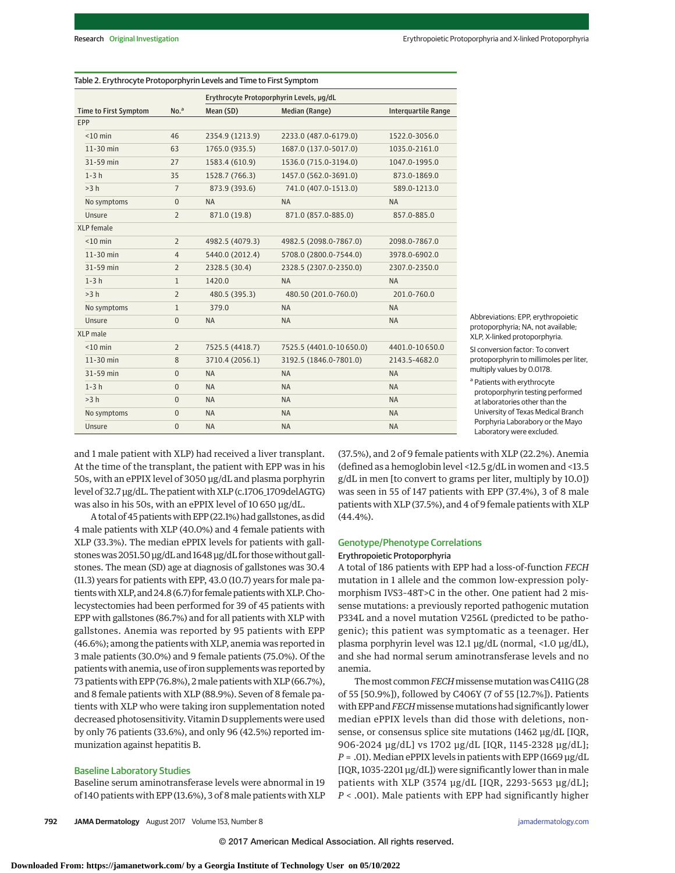|                              |                  | Erythrocyte Protoporphyrin Levels, µq/dL |                          |                            |  |
|------------------------------|------------------|------------------------------------------|--------------------------|----------------------------|--|
| <b>Time to First Symptom</b> | No. <sup>a</sup> | Mean (SD)                                | Median (Range)           | <b>Interquartile Range</b> |  |
| EPP                          |                  |                                          |                          |                            |  |
| $<$ 10 min                   | 46               | 2354.9 (1213.9)                          | 2233.0 (487.0-6179.0)    | 1522.0-3056.0              |  |
| 11-30 min                    | 63               | 1765.0 (935.5)                           | 1687.0 (137.0-5017.0)    | 1035.0-2161.0              |  |
| 31-59 min                    | 27               | 1583.4 (610.9)                           | 1536.0 (715.0-3194.0)    | 1047.0-1995.0              |  |
| $1-3h$                       | 35               | 1528.7 (766.3)                           | 1457.0 (562.0-3691.0)    | 873.0-1869.0               |  |
| >3 h                         | $\overline{7}$   | 873.9 (393.6)                            | 741.0 (407.0-1513.0)     | 589.0-1213.0               |  |
| No symptoms                  | $\mathbf{0}$     | <b>NA</b>                                | <b>NA</b>                | <b>NA</b>                  |  |
| Unsure                       | $\overline{2}$   | 871.0 (19.8)                             | 871.0 (857.0-885.0)      | 857.0-885.0                |  |
| XLP female                   |                  |                                          |                          |                            |  |
| $<$ 10 min                   | $\overline{2}$   | 4982.5 (4079.3)                          | 4982.5 (2098.0-7867.0)   | 2098.0-7867.0              |  |
| 11-30 min                    | $\overline{4}$   | 5440.0 (2012.4)                          | 5708.0 (2800.0-7544.0)   | 3978.0-6902.0              |  |
| 31-59 min                    | $\overline{2}$   | 2328.5 (30.4)                            | 2328.5 (2307.0-2350.0)   | 2307.0-2350.0              |  |
| $1-3h$                       | $\mathbf{1}$     | 1420.0                                   | <b>NA</b>                | <b>NA</b>                  |  |
| >3 h                         | $\overline{2}$   | 480.5 (395.3)                            | 480.50 (201.0-760.0)     | 201.0-760.0                |  |
| No symptoms                  | $\mathbf{1}$     | 379.0                                    | <b>NA</b>                | <b>NA</b>                  |  |
| Unsure                       | $\overline{0}$   | <b>NA</b>                                | <b>NA</b>                | <b>NA</b>                  |  |
| XLP male                     |                  |                                          |                          |                            |  |
| $<$ 10 min                   | $\overline{2}$   | 7525.5 (4418.7)                          | 7525.5 (4401.0-10 650.0) | 4401.0-10650.0             |  |
| 11-30 min                    | 8                | 3710.4 (2056.1)                          | 3192.5 (1846.0-7801.0)   | 2143.5-4682.0              |  |
| 31-59 min                    | $\mathbf{0}$     | <b>NA</b>                                | <b>NA</b>                | <b>NA</b>                  |  |
| $1-3h$                       | $\mathbf{0}$     | <b>NA</b>                                | <b>NA</b>                | <b>NA</b>                  |  |
| >3 h                         | $\mathbf{0}$     | <b>NA</b>                                | <b>NA</b>                | <b>NA</b>                  |  |
| No symptoms                  | $\overline{0}$   | <b>NA</b>                                | <b>NA</b>                | <b>NA</b>                  |  |
| Unsure                       | $\overline{0}$   | <b>NA</b>                                | <b>NA</b>                | <b>NA</b>                  |  |

Abbreviations: EPP, erythropoietic protoporphyria; NA, not available; XLP, X-linked protoporphyria.

SI conversion factor: To convert protoporphyrin to millimoles per liter, multiply values by 0.0178.

<sup>a</sup> Patients with erythrocyte protoporphyrin testing performed at laboratories other than the University of Texas Medical Branch Porphyria Laborabory or the Mayo Laboratory were excluded.

and 1 male patient with XLP) had received a liver transplant. At the time of the transplant, the patient with EPP was in his 50s, with an ePPIX level of 3050 μg/dL and plasma porphyrin level of 32.7 μg/dL. The patient with XLP (c.1706\_1709delAGTG) was also in his 50s, with an ePPIX level of 10 650 μg/dL.

A total of 45 patientswith EPP (22.1%) had gallstones, as did 4 male patients with XLP (40.0%) and 4 female patients with XLP (33.3%). The median ePPIX levels for patients with gallstoneswas 2051.50 μg/dL and 1648 μg/dL for thosewithout gallstones. The mean (SD) age at diagnosis of gallstones was 30.4 (11.3) years for patients with EPP, 43.0 (10.7) years for male patientswith XLP, and 24.8 (6.7) for female patientswith XLP.Cholecystectomies had been performed for 39 of 45 patients with EPP with gallstones (86.7%) and for all patients with XLP with gallstones. Anemia was reported by 95 patients with EPP (46.6%); among the patients with XLP, anemia was reported in 3 male patients (30.0%) and 9 female patients (75.0%). Of the patients with anemia, use of iron supplements was reported by 73 patients with EPP (76.8%), 2male patients with XLP (66.7%), and 8 female patients with XLP (88.9%). Seven of 8 female patients with XLP who were taking iron supplementation noted decreased photosensitivity. Vitamin D supplements were used by only 76 patients (33.6%), and only 96 (42.5%) reported immunization against hepatitis B.

### Baseline Laboratory Studies

Baseline serum aminotransferase levels were abnormal in 19 of 140 patients with EPP (13.6%), 3 of 8 male patients with XLP (37.5%), and 2 of 9 female patients with XLP (22.2%). Anemia (defined as a hemoglobin level <12.5 g/dL in women and <13.5 g/dL in men [to convert to grams per liter, multiply by 10.0]) was seen in 55 of 147 patients with EPP (37.4%), 3 of 8 male patients with XLP (37.5%), and 4 of 9 female patients with XLP (44.4%).

# Genotype/Phenotype Correlations Erythropoietic Protoporphyria

A total of 186 patients with EPP had a loss-of-function *FECH* mutation in 1 allele and the common low-expression polymorphism IVS3–48T>C in the other. One patient had 2 missense mutations: a previously reported pathogenic mutation P334L and a novel mutation V256L (predicted to be pathogenic); this patient was symptomatic as a teenager. Her plasma porphyrin level was 12.1 μg/dL (normal, <1.0 μg/dL), and she had normal serum aminotransferase levels and no anemia.

Themost common*FECH*missensemutationwas C411G (28 of 55 [50.9%]), followed by C406Y (7 of 55 [12.7%]). Patients with EPP and*FECH*missensemutations had significantly lower median ePPIX levels than did those with deletions, nonsense, or consensus splice site mutations (1462 μg/dL [IQR, 906-2024 μg/dL] vs 1702 μg/dL [IQR, 1145-2328 μg/dL]; *P* = .01). Median ePPIX levels in patients with EPP (1669 μg/dL [IQR, 1035-2201 μg/dL]) were significantly lower than in male patients with XLP (3574 μg/dL [IQR, 2293-5653 μg/dL]; *P* < .001). Male patients with EPP had significantly higher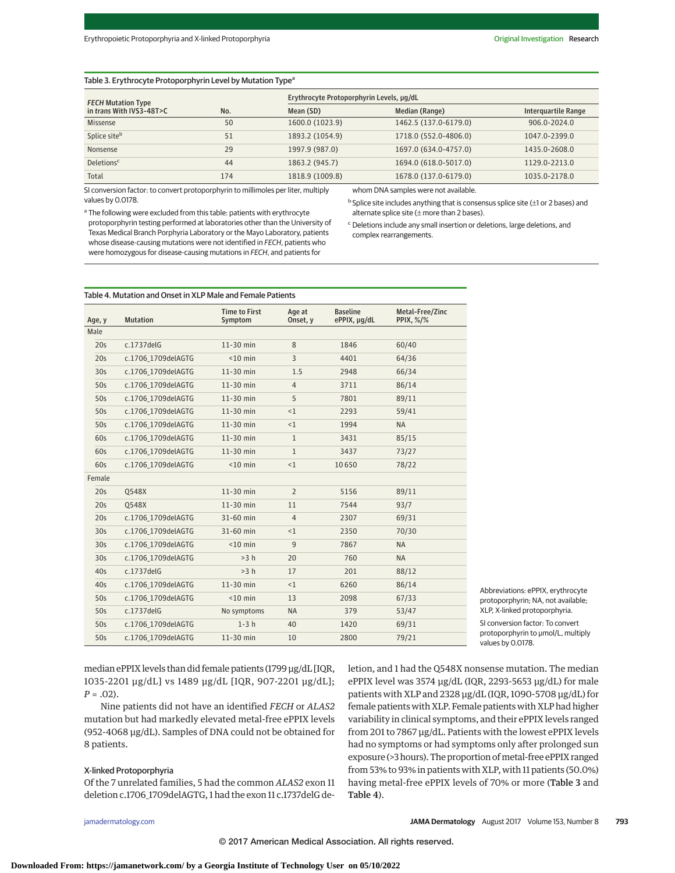#### Table 3. Erythrocyte Protoporphyrin Level by Mutation Type<sup>a</sup>

| <b>FECH Mutation Type</b> |     | Erythrocyte Protoporphyrin Levels, µg/dL |                       |                     |
|---------------------------|-----|------------------------------------------|-----------------------|---------------------|
| in trans With IVS3-48T>C  | No. | Mean (SD)                                | Median (Range)        | Interguartile Range |
| Missense                  | 50  | 1600.0 (1023.9)                          | 1462.5 (137.0-6179.0) | $906.0 - 2024.0$    |
| Splice siteb              | 51  | 1893.2 (1054.9)                          | 1718.0 (552.0-4806.0) | 1047.0-2399.0       |
| Nonsense                  | 29  | 1997.9 (987.0)                           | 1697.0 (634.0-4757.0) | 1435.0-2608.0       |
| Deletions <sup>c</sup>    | 44  | 1863.2 (945.7)                           | 1694.0 (618.0-5017.0) | 1129.0-2213.0       |
| Total                     | 174 | 1818.9 (1009.8)                          | 1678.0 (137.0-6179.0) | 1035.0-2178.0       |

SI conversion factor: to convert protoporphyrin to millimoles per liter, multiply values by 0.0178.

<sup>a</sup> The following were excluded from this table: patients with erythrocyte

whom DNA samples were not available.

 $^{\rm b}$  Splice site includes anything that is consensus splice site ( $\pm$ 1 or 2 bases) and alternate splice site  $(\pm$  more than 2 bases).

protoporphyrin testing performed at laboratories other than the University of Texas Medical Branch Porphyria Laboratory or the Mayo Laboratory, patients whose disease-causing mutations were not identified in FECH, patients who were homozygous for disease-causing mutations in FECH, and patients for

 $\epsilon$  Deletions include any small insertion or deletions, large deletions, and complex rearrangements.

| Table 4. Mutation and Onset in XLP Male and Female Patients |                    |                                 |                    |                                 |                                     |
|-------------------------------------------------------------|--------------------|---------------------------------|--------------------|---------------------------------|-------------------------------------|
| Age, y                                                      | <b>Mutation</b>    | <b>Time to First</b><br>Symptom | Age at<br>Onset, y | <b>Baseline</b><br>ePPIX, µg/dL | Metal-Free/Zinc<br><b>PPIX, %/%</b> |
| Male                                                        |                    |                                 |                    |                                 |                                     |
| 20s                                                         | c.1737delG         | 11-30 min                       | 8                  | 1846                            | 60/40                               |
| 20 <sub>s</sub>                                             | c.1706 1709delAGTG | $<$ 10 min                      | 3                  | 4401                            | 64/36                               |
| 30 <sub>5</sub>                                             | c.1706 1709delAGTG | 11-30 min                       | 1.5                | 2948                            | 66/34                               |
| 50s                                                         | c.1706 1709delAGTG | 11-30 min                       | $\overline{4}$     | 3711                            | 86/14                               |
| 50s                                                         | c.1706 1709delAGTG | 11-30 min                       | 5                  | 7801                            | 89/11                               |
| 50s                                                         | c.1706 1709delAGTG | 11-30 min                       | $\leq 1$           | 2293                            | 59/41                               |
| 50s                                                         | c.1706 1709delAGTG | 11-30 min                       | $\leq 1$           | 1994                            | <b>NA</b>                           |
| 60s                                                         | c.1706 1709delAGTG | 11-30 min                       | $\mathbf{1}$       | 3431                            | 85/15                               |
| 60s                                                         | c.1706 1709delAGTG | 11-30 min                       | $\mathbf{1}$       | 3437                            | 73/27                               |
| 60s                                                         | c.1706_1709delAGTG | $<$ 10 min                      | $\leq 1$           | 10650                           | 78/22                               |
| Female                                                      |                    |                                 |                    |                                 |                                     |
| 20s                                                         | Q548X              | 11-30 min                       | $\overline{2}$     | 5156                            | 89/11                               |
| 20s                                                         | Q548X              | 11-30 min                       | 11                 | 7544                            | 93/7                                |
| 20 <sub>s</sub>                                             | c.1706 1709delAGTG | 31-60 min                       | $\overline{4}$     | 2307                            | 69/31                               |
| 30 <sub>5</sub>                                             | c.1706 1709delAGTG | 31-60 min                       | $\leq 1$           | 2350                            | 70/30                               |
| 30 <sub>5</sub>                                             | c.1706 1709delAGTG | $<$ 10 min                      | 9                  | 7867                            | <b>NA</b>                           |
| 30 <sub>5</sub>                                             | c.1706 1709delAGTG | >3 h                            | 20                 | 760                             | <b>NA</b>                           |
| 40 <sub>s</sub>                                             | $c.1737$ del $G$   | >3 h                            | 17                 | 201                             | 88/12                               |
| 40 <sub>5</sub>                                             | c.1706 1709delAGTG | 11-30 min                       | $\leq 1$           | 6260                            | 86/14                               |
| 50s                                                         | c.1706 1709delAGTG | $<$ 10 min                      | 13                 | 2098                            | 67/33                               |
| 50s                                                         | c.1737delG         | No symptoms                     | <b>NA</b>          | 379                             | 53/47                               |
| 50 <sub>s</sub>                                             | c.1706 1709delAGTG | $1-3h$                          | 40                 | 1420                            | 69/31                               |
| 50s                                                         | c.1706 1709delAGTG | 11-30 min                       | 10                 | 2800                            | 79/21                               |

Abbreviations: ePPIX, erythrocyte protoporphyrin; NA, not available; XLP, X-linked protoporphyria. SI conversion factor: To convert protoporphyrin to μmol/L, multiply values by 0.0178.

median ePPIX levels than did female patients (1799 μg/dL [IQR, 1035-2201 μg/dL] vs 1489 μg/dL [IQR, 907-2201 μg/dL]; *P* = .02).

Nine patients did not have an identified *FECH* or *ALAS2* mutation but had markedly elevated metal-free ePPIX levels (952-4068 μg/dL). Samples of DNA could not be obtained for 8 patients.

# X-linked Protoporphyria

Of the 7 unrelated families, 5 had the common *ALAS2* exon 11 deletion c.1706\_1709delAGTG, 1 had the exon 11 c.1737delG deletion, and 1 had the Q548X nonsense mutation. The median ePPIX level was 3574 μg/dL (IQR, 2293-5653 μg/dL) for male patients with XLP and 2328 μg/dL (IQR, 1090-5708 μg/dL) for female patients with XLP. Female patients with XLP had higher variability in clinical symptoms, and their ePPIX levels ranged from 201 to 7867 μg/dL. Patients with the lowest ePPIX levels had no symptoms or had symptoms only after prolonged sun exposure (>3 hours). The proportion of metal-free ePPIX ranged from 53% to 93% in patients with XLP, with 11 patients (50.0%) having metal-free ePPIX levels of 70% or more (Table 3 and Table 4).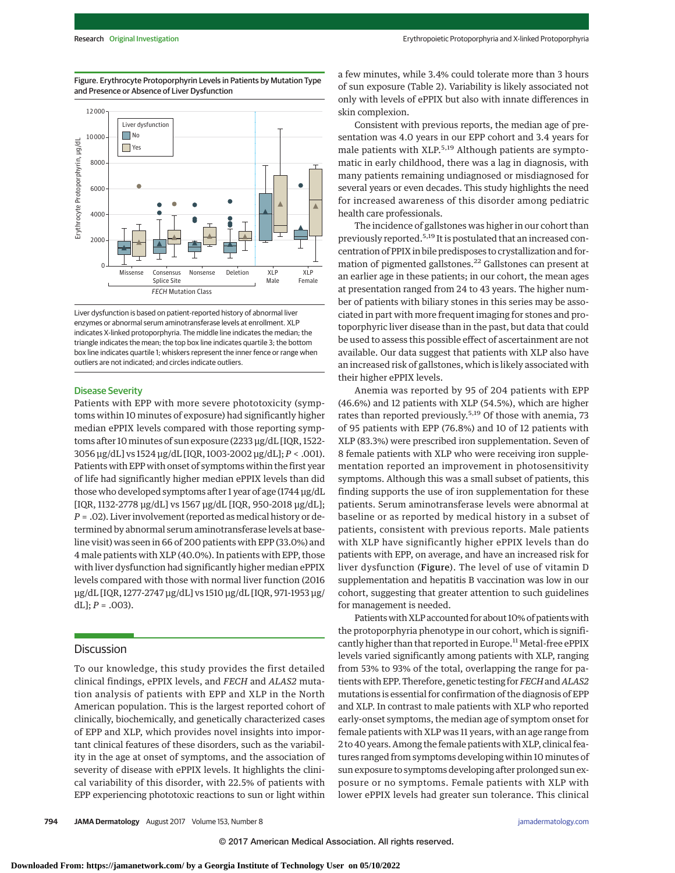Figure. Erythrocyte Protoporphyrin Levels in Patients by Mutation Type and Presence or Absence of Liver Dysfunction



Liver dysfunction is based on patient-reported history of abnormal liver enzymes or abnormal serum aminotransferase levels at enrollment. XLP indicates X-linked protoporphyria. The middle line indicates the median; the triangle indicates the mean; the top box line indicates quartile 3; the bottom box line indicates quartile 1; whiskers represent the inner fence or range when outliers are not indicated; and circles indicate outliers.

# Disease Severity

Patients with EPP with more severe phototoxicity (symptoms within 10 minutes of exposure) had significantly higher median ePPIX levels compared with those reporting symptoms after 10 minutes of sun exposure (2233 μg/dL [IQR, 1522- 3056 μg/dL] vs 1524 μg/dL [IQR, 1003-2002 μg/dL]; *P* < .001). Patients with EPP with onset of symptoms within the first year of life had significantly higher median ePPIX levels than did those who developed symptoms after 1 year of age (1744 μg/dL [IQR, 1132-2778 μg/dL] vs 1567 μg/dL [IQR, 950-2018 μg/dL]; *P* = .02). Liver involvement (reported as medical history or determined by abnormal serum aminotransferase levels at baseline visit) was seen in 66 of 200 patients with EPP (33.0%) and 4 male patients with XLP (40.0%). In patients with EPP, those with liver dysfunction had significantly higher median ePPIX levels compared with those with normal liver function (2016 μg/dL [IQR, 1277-2747 μg/dL] vs 1510 μg/dL [IQR, 971-1953 μg/ dL];  $P = .003$ ).

# Discussion

To our knowledge, this study provides the first detailed clinical findings, ePPIX levels, and *FECH* and *ALAS2* mutation analysis of patients with EPP and XLP in the North American population. This is the largest reported cohort of clinically, biochemically, and genetically characterized cases of EPP and XLP, which provides novel insights into important clinical features of these disorders, such as the variability in the age at onset of symptoms, and the association of severity of disease with ePPIX levels. It highlights the clinical variability of this disorder, with 22.5% of patients with EPP experiencing phototoxic reactions to sun or light within a few minutes, while 3.4% could tolerate more than 3 hours of sun exposure (Table 2). Variability is likely associated not only with levels of ePPIX but also with innate differences in skin complexion.

Consistent with previous reports, the median age of presentation was 4.0 years in our EPP cohort and 3.4 years for male patients with XLP.<sup>5,19</sup> Although patients are symptomatic in early childhood, there was a lag in diagnosis, with many patients remaining undiagnosed or misdiagnosed for several years or even decades. This study highlights the need for increased awareness of this disorder among pediatric health care professionals.

The incidence of gallstones was higher in our cohort than previously reported.5,19 It is postulated that an increased concentration of PPIX in bile predisposes to crystallization and formation of pigmented gallstones.<sup>22</sup> Gallstones can present at an earlier age in these patients; in our cohort, the mean ages at presentation ranged from 24 to 43 years. The higher number of patients with biliary stones in this series may be associated in part with more frequent imaging for stones and protoporphyric liver disease than in the past, but data that could be used to assess this possible effect of ascertainment are not available. Our data suggest that patients with XLP also have an increased risk of gallstones, which is likely associated with their higher ePPIX levels.

Anemia was reported by 95 of 204 patients with EPP (46.6%) and 12 patients with XLP (54.5%), which are higher rates than reported previously.<sup>5,19</sup> Of those with anemia, 73 of 95 patients with EPP (76.8%) and 10 of 12 patients with XLP (83.3%) were prescribed iron supplementation. Seven of 8 female patients with XLP who were receiving iron supplementation reported an improvement in photosensitivity symptoms. Although this was a small subset of patients, this finding supports the use of iron supplementation for these patients. Serum aminotransferase levels were abnormal at baseline or as reported by medical history in a subset of patients, consistent with previous reports. Male patients with XLP have significantly higher ePPIX levels than do patients with EPP, on average, and have an increased risk for liver dysfunction (Figure). The level of use of vitamin D supplementation and hepatitis B vaccination was low in our cohort, suggesting that greater attention to such guidelines for management is needed.

Patients with XLP accounted for about 10% of patients with the protoporphyria phenotype in our cohort, which is significantly higher than that reported in Europe.<sup>11</sup> Metal-free ePPIX levels varied significantly among patients with XLP, ranging from 53% to 93% of the total, overlapping the range for patients with EPP. Therefore, genetic testing for*FECH*and *ALAS2* mutations is essential for confirmation of the diagnosis of EPP and XLP. In contrast to male patients with XLP who reported early-onset symptoms, the median age of symptom onset for female patients with XLP was 11 years, with an age range from 2 to 40 years. Among the female patients with XLP, clinical features ranged from symptoms developing within 10 minutes of sun exposure to symptoms developing after prolonged sun exposure or no symptoms. Female patients with XLP with lower ePPIX levels had greater sun tolerance. This clinical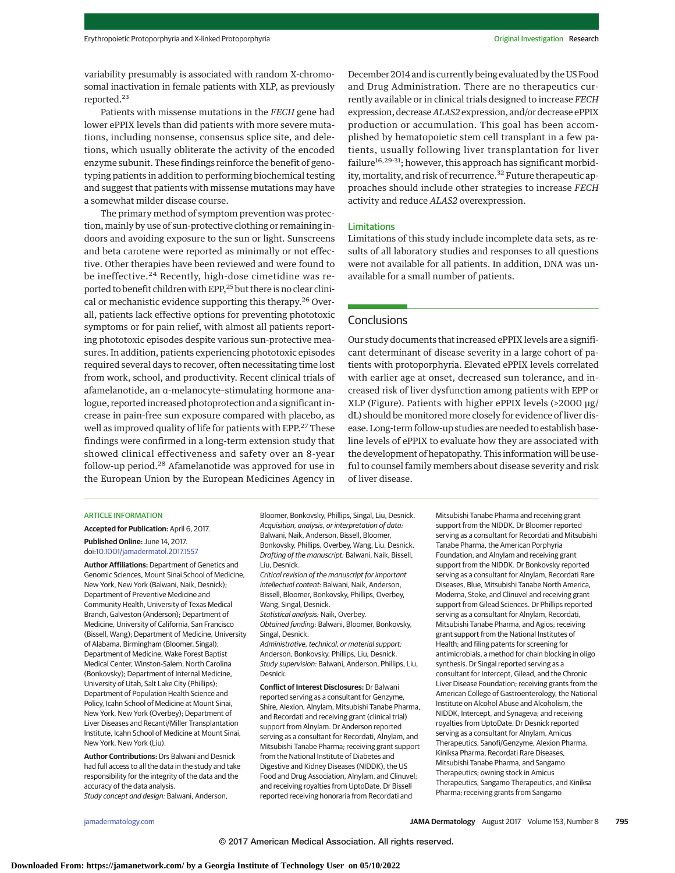variability presumably is associated with random X-chromosomal inactivation in female patients with XLP, as previously reported.23

Patients with missense mutations in the *FECH* gene had lower ePPIX levels than did patients with more severe mutations, including nonsense, consensus splice site, and deletions, which usually obliterate the activity of the encoded enzyme subunit. These findings reinforce the benefit of genotyping patients in addition to performing biochemical testing and suggest that patients with missense mutations may have a somewhat milder disease course.

The primary method of symptom prevention was protection, mainly by use of sun-protective clothing or remaining indoors and avoiding exposure to the sun or light. Sunscreens and beta carotene were reported as minimally or not effective. Other therapies have been reviewed and were found to be ineffective.<sup>24</sup> Recently, high-dose cimetidine was reported to benefit children with EPP,<sup>25</sup> but there is no clear clinical or mechanistic evidence supporting this therapy.26 Overall, patients lack effective options for preventing phototoxic symptoms or for pain relief, with almost all patients reporting phototoxic episodes despite various sun-protective measures. In addition, patients experiencing phototoxic episodes required several days to recover, often necessitating time lost from work, school, and productivity. Recent clinical trials of afamelanotide, an α-melanocyte–stimulating hormone analogue, reported increased photoprotection and a significant increase in pain-free sun exposure compared with placebo, as well as improved quality of life for patients with EPP.<sup>27</sup> These findings were confirmed in a long-term extension study that showed clinical effectiveness and safety over an 8-year follow-up period.<sup>28</sup> Afamelanotide was approved for use in the European Union by the European Medicines Agency in

## ARTICLE INFORMATION

**Accepted for Publication:** April 6, 2017. **Published Online:** June 14, 2017. doi[:10.1001/jamadermatol.2017.1557](http://jama.jamanetwork.com/article.aspx?doi=10.1001/jamadermatol.2017.1557&utm_campaign=articlePDF%26utm_medium=articlePDFlink%26utm_source=articlePDF%26utm_content=jamadermatol.2017.1557)

**Author Affiliations:** Department of Genetics and Genomic Sciences, Mount Sinai School of Medicine, New York, New York (Balwani, Naik, Desnick); Department of Preventive Medicine and Community Health, University of Texas Medical Branch, Galveston (Anderson); Department of Medicine, University of California, San Francisco (Bissell, Wang); Department of Medicine, University of Alabama, Birmingham (Bloomer, Singal); Department of Medicine, Wake Forest Baptist Medical Center, Winston-Salem, North Carolina (Bonkovsky); Department of Internal Medicine, University of Utah, Salt Lake City (Phillips); Department of Population Health Science and Policy, Icahn School of Medicine at Mount Sinai, New York, New York (Overbey); Department of Liver Diseases and Recanti/Miller Transplantation Institute, Icahn School of Medicine at Mount Sinai, New York, New York (Liu).

**Author Contributions:** Drs Balwani and Desnick had full access to all the data in the study and take responsibility for the integrity of the data and the accuracy of the data analysis. Study concept and design: Balwani, Anderson,

Bloomer, Bonkovsky, Phillips, Singal, Liu, Desnick. Acquisition, analysis, or interpretation of data: Balwani, Naik, Anderson, Bissell, Bloomer, Bonkovsky, Phillips, Overbey, Wang, Liu, Desnick. Drafting of the manuscript: Balwani, Naik, Bissell, Liu, Desnick.

Critical revision of the manuscript for important intellectual content: Balwani, Naik, Anderson, Bissell, Bloomer, Bonkovsky, Phillips, Overbey, Wang, Singal, Desnick.

Statistical analysis: Naik, Overbey. Obtained funding: Balwani, Bloomer, Bonkovsky, Singal, Desnick.

Administrative, technical, or material support: Anderson, Bonkovsky, Phillips, Liu, Desnick. Study supervision: Balwani, Anderson, Phillips, Liu, Desnick.

**Conflict of Interest Disclosures:** Dr Balwani reported serving as a consultant for Genzyme, Shire, Alexion, Alnylam, Mitsubishi Tanabe Pharma, and Recordati and receiving grant (clinical trial) support from Alnylam. Dr Anderson reported serving as a consultant for Recordati, Alnylam, and Mitsubishi Tanabe Pharma; receiving grant support from the National Institute of Diabetes and Digestive and Kidney Diseases (NIDDK), the US Food and Drug Association, Alnylam, and Clinuvel; and receiving royalties from UptoDate. Dr Bissell reported receiving honoraria from Recordati and

December 2014 and is currently being evaluated by the US Food and Drug Administration. There are no therapeutics currently available or in clinical trials designed to increase *FECH* expression, decrease *ALAS2* expression, and/or decrease ePPIX production or accumulation. This goal has been accomplished by hematopoietic stem cell transplant in a few patients, usually following liver transplantation for liver failure<sup>16,29-31</sup>; however, this approach has significant morbidity, mortality, and risk of recurrence.<sup>32</sup> Future therapeutic approaches should include other strategies to increase *FECH* activity and reduce *ALAS2* overexpression.

# Limitations

Limitations of this study include incomplete data sets, as results of all laboratory studies and responses to all questions were not available for all patients. In addition, DNA was unavailable for a small number of patients.

# **Conclusions**

Our study documents that increased ePPIX levels are a significant determinant of disease severity in a large cohort of patients with protoporphyria. Elevated ePPIX levels correlated with earlier age at onset, decreased sun tolerance, and increased risk of liver dysfunction among patients with EPP or XLP (Figure). Patients with higher ePPIX levels (>2000 μg/ dL) should be monitored more closely for evidence of liver disease. Long-term follow-up studies are needed to establish baseline levels of ePPIX to evaluate how they are associated with the development of hepatopathy. This information will be useful to counsel family members about disease severity and risk of liver disease.

> Mitsubishi Tanabe Pharma and receiving grant support from the NIDDK. Dr Bloomer reported serving as a consultant for Recordati and Mitsubishi Tanabe Pharma, the American Porphyria Foundation, and Alnylam and receiving grant support from the NIDDK. Dr Bonkovsky reported serving as a consultant for Alnylam, Recordati Rare Diseases, Blue, Mitsubishi Tanabe North America, Moderna, Stoke, and Clinuvel and receiving grant support from Gilead Sciences. Dr Phillips reported serving as a consultant for Alnylam, Recordati, Mitsubishi Tanabe Pharma, and Agios; receiving grant support from the National Institutes of Health; and filing patents for screening for antimicrobials, a method for chain blocking in oligo synthesis. Dr Singal reported serving as a consultant for Intercept, Gilead, and the Chronic Liver Disease Foundation; receiving grants from the American College of Gastroenterology, the National Institute on Alcohol Abuse and Alcoholism, the NIDDK, Intercept, and Synageva; and receiving royalties from UptoDate. Dr Desnick reported serving as a consultant for Alnylam, Amicus Therapeutics, Sanofi/Genzyme, Alexion Pharma, Kiniksa Pharma, Recordati Rare Diseases, Mitsubishi Tanabe Pharma, and Sangamo Therapeutics; owning stock in Amicus Therapeutics, Sangamo Therapeutics, and Kiniksa Pharma; receiving grants from Sangamo